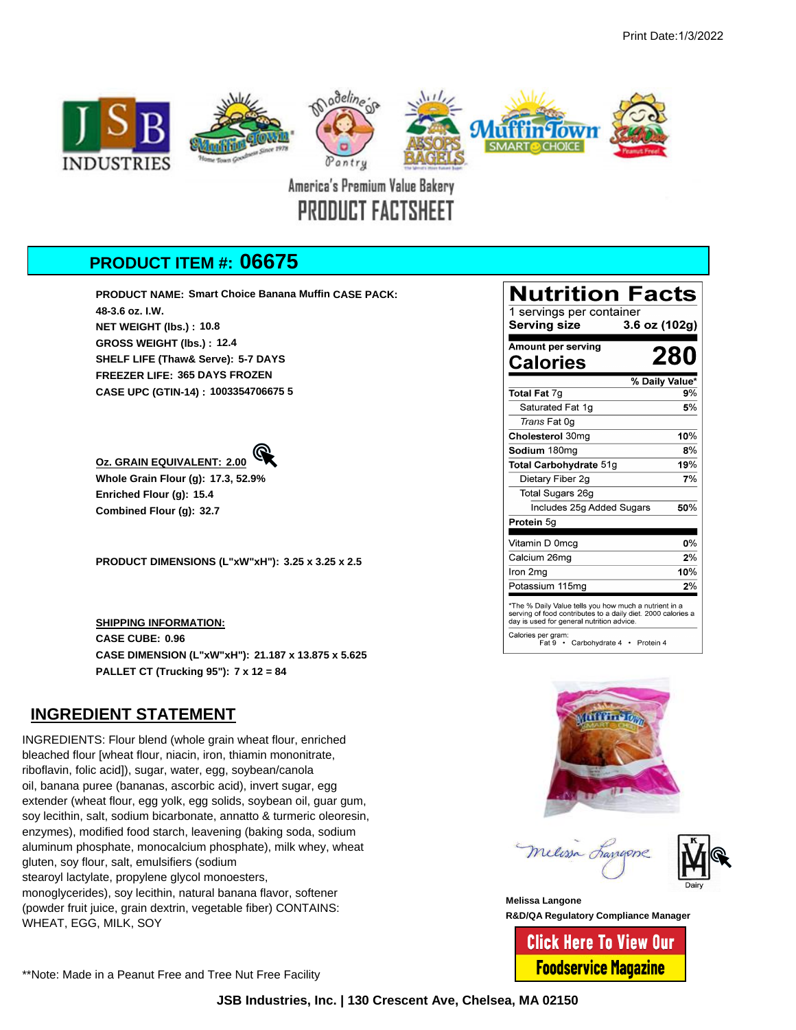

PRODUCT FACTSHEET

## **PRODUCT ITEM #: 06675**

**PRODUCT NAME: Smart Choice Banana Muffin CASE PACK: 48-3.6 oz. I.W. NET WEIGHT (lbs.) : 10.8 GROSS WEIGHT (lbs.) : 12.4 SHELF LIFE (Thaw& Serve): 5-7 DAYS FREEZER LIFE: 365 DAYS FROZEN CASE UPC (GTIN-14) : 1003354706675 5**

## **[Oz. GRAIN EQUIVALENT:](http://muffintown-facts.com/06675%20GE.pdf) 2.00**

**Whole Grain Flour (g): 17.3, 52.9% Enriched Flour (g): 15.4 Combined Flour (g): 32.7**

**PRODUCT DIMENSIONS (L"xW"xH"): 3.25 x 3.25 x 2.5**

**SHIPPING INFORMATION: CASE CUBE: 0.96 CASE DIMENSION (L"xW"xH"): 21.187 x 13.875 x 5.625 PALLET CT (Trucking 95"): 7 x 12 = 84**

## **INGREDIENT STATEMENT**

INGREDIENTS: Flour blend (whole grain wheat flour, enriched bleached flour [wheat flour, niacin, iron, thiamin mononitrate, riboflavin, folic acid]), sugar, water, egg, soybean/canola oil, banana puree (bananas, ascorbic acid), invert sugar, egg extender (wheat flour, egg yolk, egg solids, soybean oil, guar gum, soy lecithin, salt, sodium bicarbonate, annatto & turmeric oleoresin, enzymes), modified food starch, leavening (baking soda, sodium aluminum phosphate, monocalcium phosphate), milk whey, wheat gluten, soy flour, salt, emulsifiers (sodium stearoyl lactylate, propylene glycol monoesters, monoglycerides), soy lecithin, natural banana flavor, softener (powder fruit juice, grain dextrin, vegetable fiber) CONTAINS: WHEAT, EGG, MILK, SOY

## **Nutrition Facts**

1 servings per container  $3.6$  oz (102g) **Serving size** Amount per serving 280 **Calories** % Daily Value\* Total Fat 7g  $9%$ Saturated Fat 1g  $5%$ Trans Fat 0g Cholesterol 30mg  $10%$ Sodium 180mg  $8%$ Total Carbohydrate 51g  $19%$ Dietary Fiber 2g  $\overline{7\%}$ Total Sugars 26g Includes 25g Added Sugars  $50%$ Protein 5g Vitamin D 0mcg 0% Calcium 26mg  $\overline{2\%}$ Iron 2mg  $10%$ Potassium 115mg  $2%$ \*The % Daily Value tells you how much a nutrient in a

serving of food contributes to a daily diet. 2000 calories a<br>day is used for general nutrition advice. Calories per gram:<br>Fat 9 · Carbohydrate 4 · Protein 4





**Melissa Langone R&D/QA Regulatory Compliance Manager**

> **Click Here To View Our Foodservice Magazine**

\*\*Note: Made in a Peanut Free and Tree Nut Free Facility